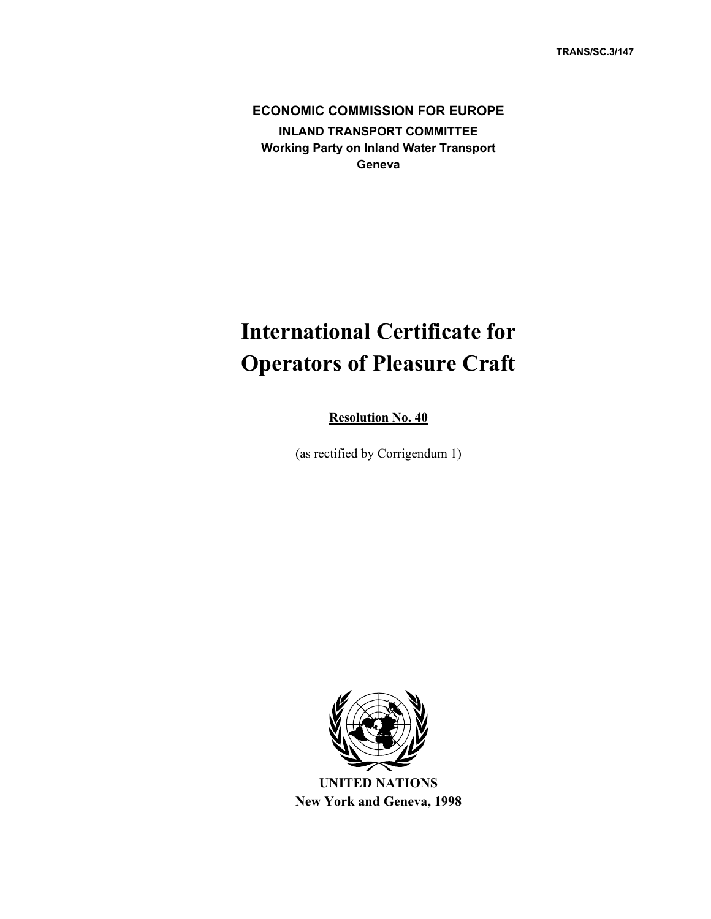**ECONOMIC COMMISSION FOR EUROPE INLAND TRANSPORT COMMITTEE Working Party on Inland Water Transport Geneva**

# **International Certificate for Operators of Pleasure Craft**

**Resolution No. 40**

(as rectified by Corrigendum 1)



**UNITED NATIONS New York and Geneva, 1998**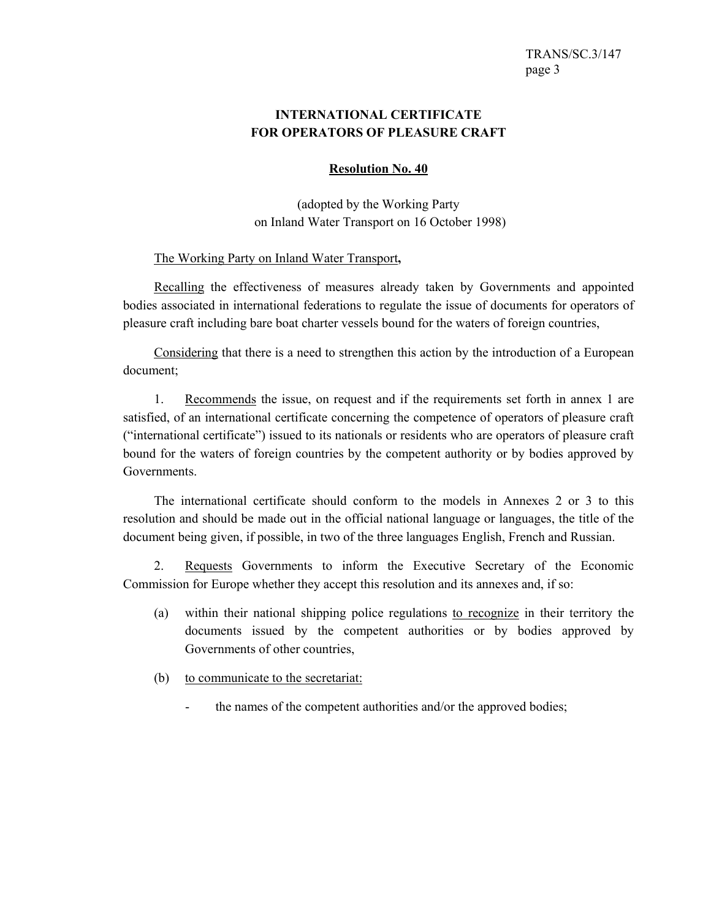## **INTERNATIONAL CERTIFICATE FOR OPERATORS OF PLEASURE CRAFT**

#### **Resolution No. 40**

(adopted by the Working Party on Inland Water Transport on 16 October 1998)

#### The Working Party on Inland Water Transport**,**

 Recalling the effectiveness of measures already taken by Governments and appointed bodies associated in international federations to regulate the issue of documents for operators of pleasure craft including bare boat charter vessels bound for the waters of foreign countries,

 Considering that there is a need to strengthen this action by the introduction of a European document;

 1. Recommends the issue, on request and if the requirements set forth in annex 1 are satisfied, of an international certificate concerning the competence of operators of pleasure craft ("international certificate") issued to its nationals or residents who are operators of pleasure craft bound for the waters of foreign countries by the competent authority or by bodies approved by Governments.

 The international certificate should conform to the models in Annexes 2 or 3 to this resolution and should be made out in the official national language or languages, the title of the document being given, if possible, in two of the three languages English, French and Russian.

 2. Requests Governments to inform the Executive Secretary of the Economic Commission for Europe whether they accept this resolution and its annexes and, if so:

- (a) within their national shipping police regulations to recognize in their territory the documents issued by the competent authorities or by bodies approved by Governments of other countries,
- (b) to communicate to the secretariat:
	- the names of the competent authorities and/or the approved bodies;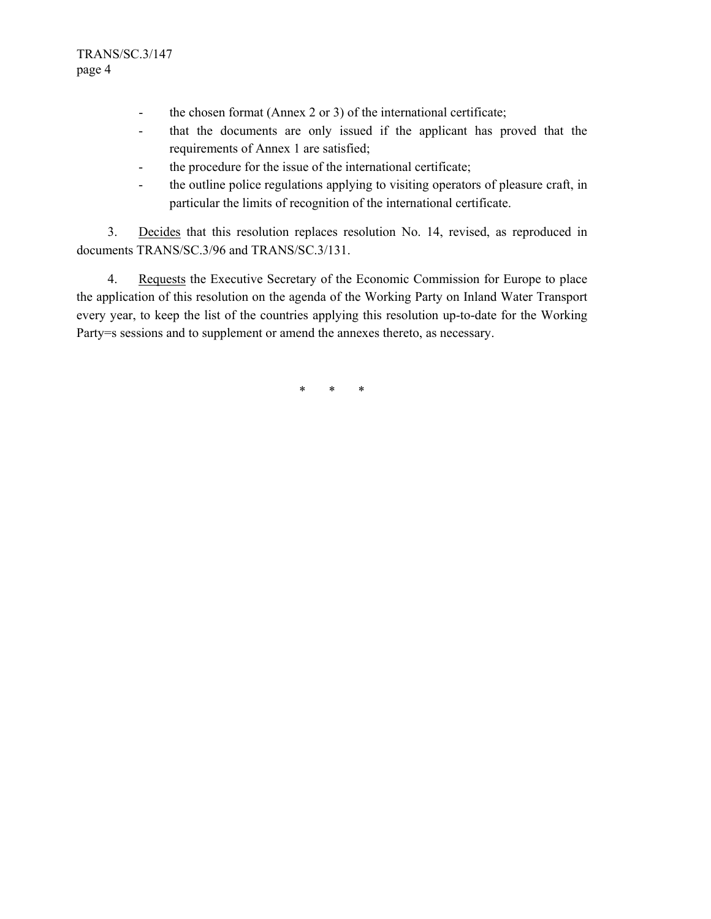- the chosen format (Annex 2 or 3) of the international certificate;
- that the documents are only issued if the applicant has proved that the requirements of Annex 1 are satisfied;
- the procedure for the issue of the international certificate;
- the outline police regulations applying to visiting operators of pleasure craft, in particular the limits of recognition of the international certificate.

 3. Decides that this resolution replaces resolution No. 14, revised, as reproduced in documents TRANS/SC.3/96 and TRANS/SC.3/131.

 4. Requests the Executive Secretary of the Economic Commission for Europe to place the application of this resolution on the agenda of the Working Party on Inland Water Transport every year, to keep the list of the countries applying this resolution up-to-date for the Working Party=s sessions and to supplement or amend the annexes thereto, as necessary.

\* \* \*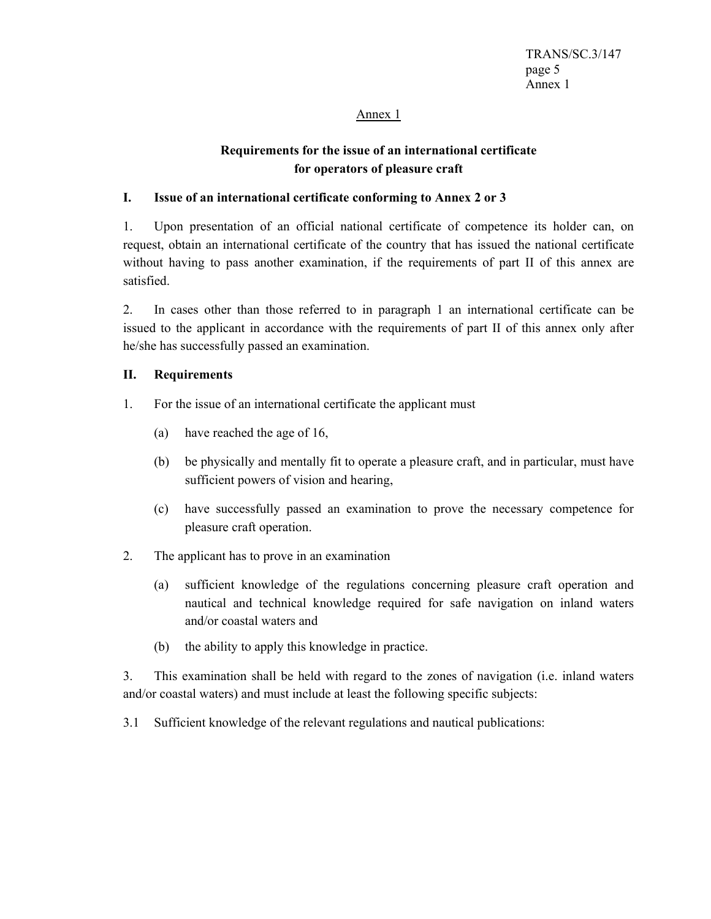#### Annex 1

## **Requirements for the issue of an international certificate for operators of pleasure craft**

### **I. Issue of an international certificate conforming to Annex 2 or 3**

1. Upon presentation of an official national certificate of competence its holder can, on request, obtain an international certificate of the country that has issued the national certificate without having to pass another examination, if the requirements of part II of this annex are satisfied.

2. In cases other than those referred to in paragraph 1 an international certificate can be issued to the applicant in accordance with the requirements of part II of this annex only after he/she has successfully passed an examination.

#### **II. Requirements**

- 1. For the issue of an international certificate the applicant must
	- (a) have reached the age of 16,
	- (b) be physically and mentally fit to operate a pleasure craft, and in particular, must have sufficient powers of vision and hearing,
	- (c) have successfully passed an examination to prove the necessary competence for pleasure craft operation.
- 2. The applicant has to prove in an examination
	- (a) sufficient knowledge of the regulations concerning pleasure craft operation and nautical and technical knowledge required for safe navigation on inland waters and/or coastal waters and
	- (b) the ability to apply this knowledge in practice.

3. This examination shall be held with regard to the zones of navigation (i.e. inland waters and/or coastal waters) and must include at least the following specific subjects:

3.1 Sufficient knowledge of the relevant regulations and nautical publications: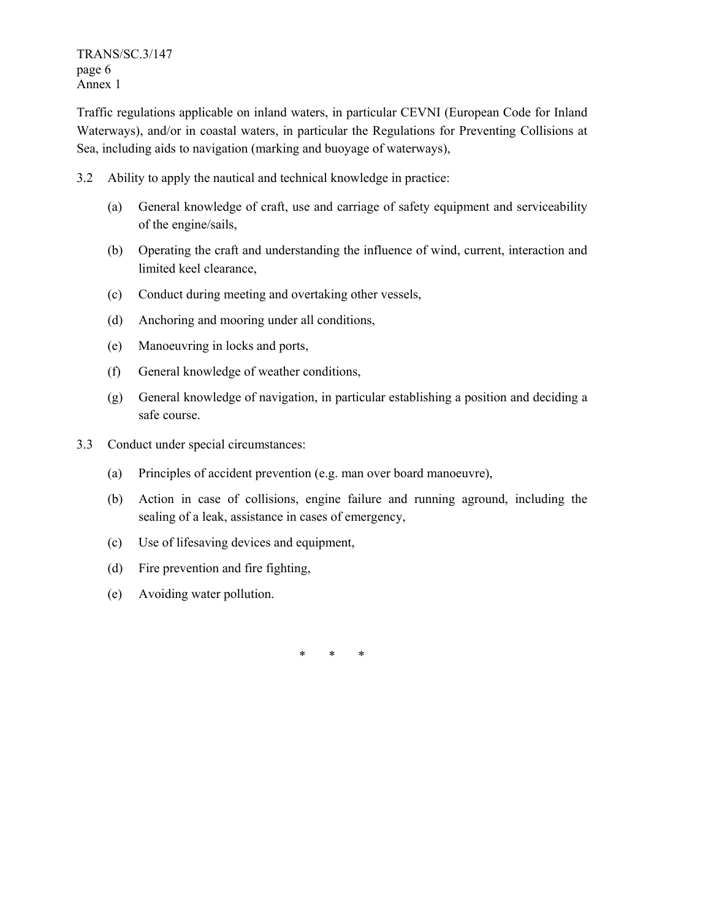TRANS/SC.3/147 page 6 Annex 1

Traffic regulations applicable on inland waters, in particular CEVNI (European Code for Inland Waterways), and/or in coastal waters, in particular the Regulations for Preventing Collisions at Sea, including aids to navigation (marking and buoyage of waterways),

- 3.2 Ability to apply the nautical and technical knowledge in practice:
	- (a) General knowledge of craft, use and carriage of safety equipment and serviceability of the engine/sails,
	- (b) Operating the craft and understanding the influence of wind, current, interaction and limited keel clearance,
	- (c) Conduct during meeting and overtaking other vessels,
	- (d) Anchoring and mooring under all conditions,
	- (e) Manoeuvring in locks and ports,
	- (f) General knowledge of weather conditions,
	- (g) General knowledge of navigation, in particular establishing a position and deciding a safe course.
- 3.3 Conduct under special circumstances:
	- (a) Principles of accident prevention (e.g. man over board manoeuvre),
	- (b) Action in case of collisions, engine failure and running aground, including the sealing of a leak, assistance in cases of emergency,
	- (c) Use of lifesaving devices and equipment,
	- (d) Fire prevention and fire fighting,
	- (e) Avoiding water pollution.

\* \* \*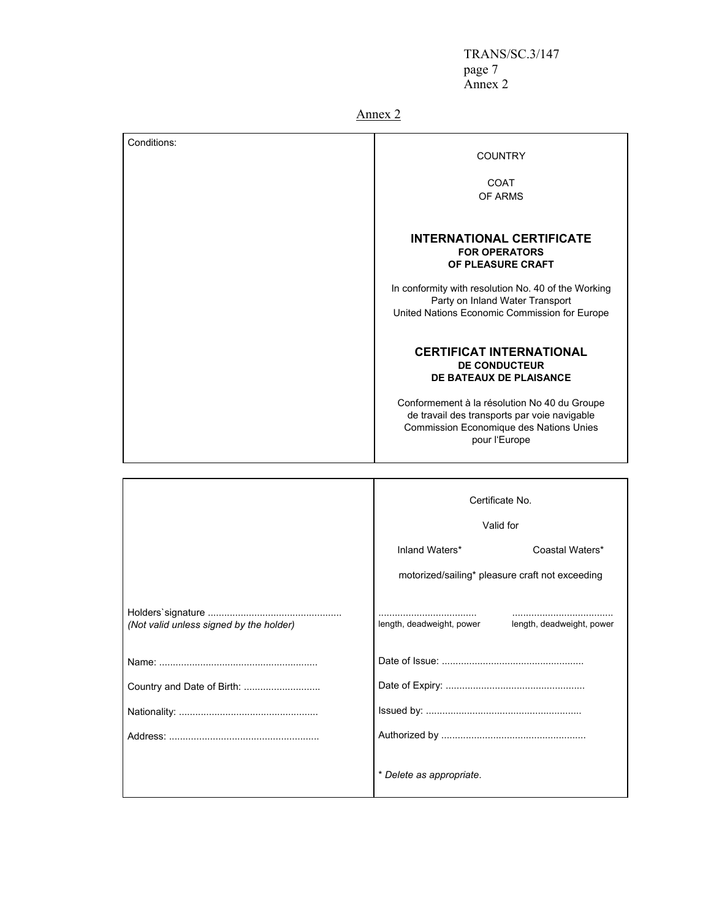TRANS/SC.3/147 page 7 Annex 2

Annex 2

| Conditions:                             | <b>COUNTRY</b>                                                                                                                                                                                                                                 |                                                                                                                                         |
|-----------------------------------------|------------------------------------------------------------------------------------------------------------------------------------------------------------------------------------------------------------------------------------------------|-----------------------------------------------------------------------------------------------------------------------------------------|
|                                         | <b>COAT</b>                                                                                                                                                                                                                                    |                                                                                                                                         |
|                                         |                                                                                                                                                                                                                                                | OF ARMS                                                                                                                                 |
|                                         |                                                                                                                                                                                                                                                | <b>INTERNATIONAL CERTIFICATE</b><br><b>FOR OPERATORS</b><br>OF PLEASURE CRAFT                                                           |
|                                         |                                                                                                                                                                                                                                                | In conformity with resolution No. 40 of the Working<br>Party on Inland Water Transport<br>United Nations Economic Commission for Europe |
|                                         | <b>CERTIFICAT INTERNATIONAL</b><br><b>DE CONDUCTEUR</b><br>DE BATEAUX DE PLAISANCE<br>Conformement à la résolution No 40 du Groupe<br>de travail des transports par voie navigable<br>Commission Economique des Nations Unies<br>pour l'Europe |                                                                                                                                         |
|                                         |                                                                                                                                                                                                                                                |                                                                                                                                         |
|                                         |                                                                                                                                                                                                                                                |                                                                                                                                         |
|                                         | Certificate No.<br>Valid for                                                                                                                                                                                                                   |                                                                                                                                         |
|                                         |                                                                                                                                                                                                                                                |                                                                                                                                         |
|                                         | Inland Waters*                                                                                                                                                                                                                                 | Coastal Waters*                                                                                                                         |
|                                         | motorized/sailing* pleasure craft not exceeding                                                                                                                                                                                                |                                                                                                                                         |
|                                         |                                                                                                                                                                                                                                                |                                                                                                                                         |
| (Not valid unless signed by the holder) | length, deadweight, power                                                                                                                                                                                                                      | length, deadweight, power                                                                                                               |
|                                         |                                                                                                                                                                                                                                                |                                                                                                                                         |
| Country and Date of Birth:              |                                                                                                                                                                                                                                                |                                                                                                                                         |
|                                         |                                                                                                                                                                                                                                                |                                                                                                                                         |
|                                         |                                                                                                                                                                                                                                                |                                                                                                                                         |